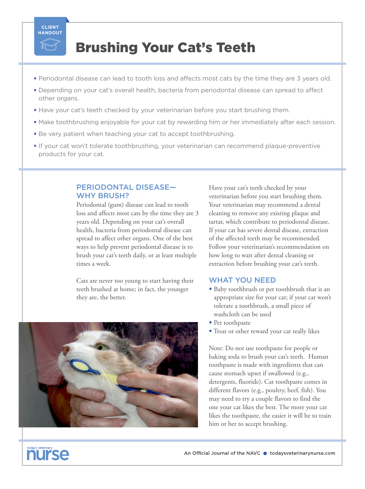

## Brushing Your Cat's Teeth

- Periodontal disease can lead to tooth loss and affects most cats by the time they are 3 years old.
- Depending on your cat's overall health, bacteria from periodontal disease can spread to affect other organs.
- Have your cat's teeth checked by your veterinarian before you start brushing them.
- Make toothbrushing enjoyable for your cat by rewarding him or her immediately after each session.
- Be very patient when teaching your cat to accept toothbrushing.
- If your cat won't tolerate toothbrushing, your veterinarian can recommend plaque-preventive products for your cat.

### PERIODONTAL DISEASE— WHY BRUSH?

Periodontal (gum) disease can lead to tooth loss and affects most cats by the time they are 3 years old. Depending on your cat's overall health, bacteria from periodontal disease can spread to affect other organs. One of the best ways to help prevent periodontal disease is to brush your cat's teeth daily, or at least multiple times a week.

Cats are never too young to start having their teeth brushed at home; in fact, the younger they are, the better.



Have your cat's teeth checked by your veterinarian before you start brushing them. Your veterinarian may recommend a dental cleaning to remove any existing plaque and tartar, which contribute to periodontal disease. If your cat has severe dental disease, extraction of the affected teeth may be recommended. Follow your veterinarian's recommendation on how long to wait after dental cleaning or extraction before brushing your cat's teeth.

## WHAT YOU NEED

- Baby toothbrush or pet toothbrush that is an appropriate size for your cat; if your cat won't tolerate a toothbrush, a small piece of washcloth can be used
- Pet toothpaste
- Treat or other reward your cat really likes

Note: Do not use toothpaste for people or baking soda to brush your cat's teeth. Human toothpaste is made with ingredients that can cause stomach upset if swallowed (e.g., detergents, fluoride). Cat toothpaste comes in different flavors (e.g., poultry, beef, fish). You may need to try a couple flavors to find the one your cat likes the best. The more your cat likes the toothpaste, the easier it will be to train him or her to accept brushing.

# oday's veterinary<br> **AUITSE**